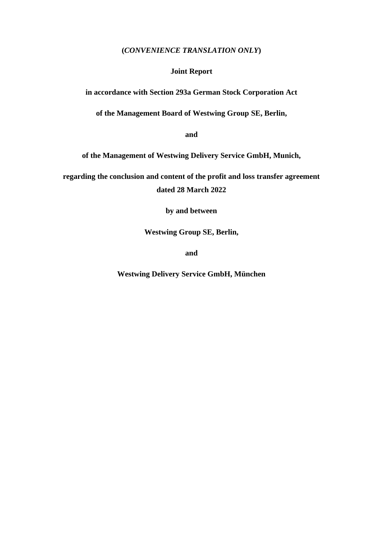### **(***CONVENIENCE TRANSLATION ONLY***)**

### **Joint Report**

**in accordance with Section 293a German Stock Corporation Act**

**of the Management Board of Westwing Group SE, Berlin,**

**and**

**of the Management of Westwing Delivery Service GmbH, Munich,**

**regarding the conclusion and content of the profit and loss transfer agreement dated 28 March 2022**

**by and between**

**Westwing Group SE, Berlin,**

**and**

**Westwing Delivery Service GmbH, München**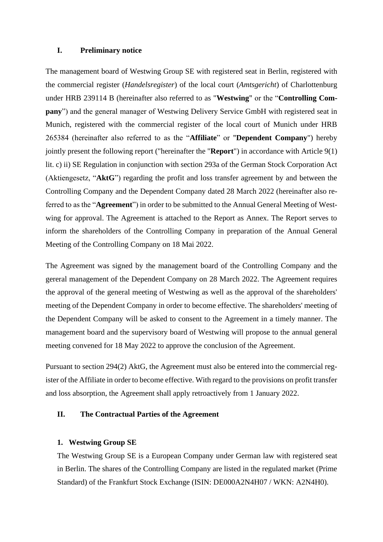### **I. Preliminary notice**

The management board of Westwing Group SE with registered seat in Berlin, registered with the commercial register (*Handelsregister*) of the local court (*Amtsgericht*) of Charlottenburg under HRB 239114 B (hereinafter also referred to as "**Westwing**" or the "**Controlling Company**") and the general manager of Westwing Delivery Service GmbH with registered seat in Munich, registered with the commercial register of the local court of Munich under HRB 265384 (hereinafter also referred to as the "**Affiliate**" or "**Dependent Company**") hereby jointly present the following report ("hereinafter the "**Report**") in accordance with Article 9(1) lit. c) ii) SE Regulation in conjunction with section 293a of the German Stock Corporation Act (Aktiengesetz, "**AktG**") regarding the profit and loss transfer agreement by and between the Controlling Company and the Dependent Company dated 28 March 2022 (hereinafter also referred to as the "**Agreement**") in order to be submitted to the Annual General Meeting of Westwing for approval. The Agreement is attached to the Report as Annex. The Report serves to inform the shareholders of the Controlling Company in preparation of the Annual General Meeting of the Controlling Company on 18 Mai 2022.

The Agreement was signed by the management board of the Controlling Company and the gereral management of the Dependent Company on 28 March 2022. The Agreement requires the approval of the general meeting of Westwing as well as the approval of the shareholders' meeting of the Dependent Company in order to become effective. The shareholders' meeting of the Dependent Company will be asked to consent to the Agreement in a timely manner. The management board and the supervisory board of Westwing will propose to the annual general meeting convened for 18 May 2022 to approve the conclusion of the Agreement.

Pursuant to section 294(2) AktG, the Agreement must also be entered into the commercial register of the Affiliate in order to become effective. With regard to the provisions on profit transfer and loss absorption, the Agreement shall apply retroactively from 1 January 2022.

### **II. The Contractual Parties of the Agreement**

### **1. Westwing Group SE**

The Westwing Group SE is a European Company under German law with registered seat in Berlin. The shares of the Controlling Company are listed in the regulated market (Prime Standard) of the Frankfurt Stock Exchange (ISIN: DE000A2N4H07 / WKN: A2N4H0).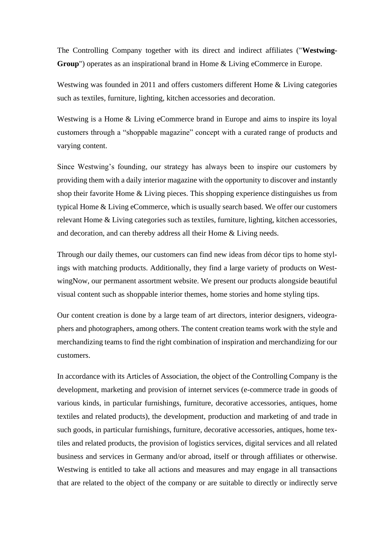The Controlling Company together with its direct and indirect affiliates ("**Westwing-Group**") operates as an inspirational brand in Home & Living eCommerce in Europe.

Westwing was founded in 2011 and offers customers different Home & Living categories such as textiles, furniture, lighting, kitchen accessories and decoration.

Westwing is a Home & Living eCommerce brand in Europe and aims to inspire its loyal customers through a "shoppable magazine" concept with a curated range of products and varying content.

Since Westwing's founding, our strategy has always been to inspire our customers by providing them with a daily interior magazine with the opportunity to discover and instantly shop their favorite Home & Living pieces. This shopping experience distinguishes us from typical Home & Living eCommerce, which is usually search based. We offer our customers relevant Home & Living categories such as textiles, furniture, lighting, kitchen accessories, and decoration, and can thereby address all their Home & Living needs.

Through our daily themes, our customers can find new ideas from décor tips to home stylings with matching products. Additionally, they find a large variety of products on WestwingNow, our permanent assortment website. We present our products alongside beautiful visual content such as shoppable interior themes, home stories and home styling tips.

Our content creation is done by a large team of art directors, interior designers, videographers and photographers, among others. The content creation teams work with the style and merchandizing teams to find the right combination of inspiration and merchandizing for our customers.

In accordance with its Articles of Association, the object of the Controlling Company is the development, marketing and provision of internet services (e-commerce trade in goods of various kinds, in particular furnishings, furniture, decorative accessories, antiques, home textiles and related products), the development, production and marketing of and trade in such goods, in particular furnishings, furniture, decorative accessories, antiques, home textiles and related products, the provision of logistics services, digital services and all related business and services in Germany and/or abroad, itself or through affiliates or otherwise. Westwing is entitled to take all actions and measures and may engage in all transactions that are related to the object of the company or are suitable to directly or indirectly serve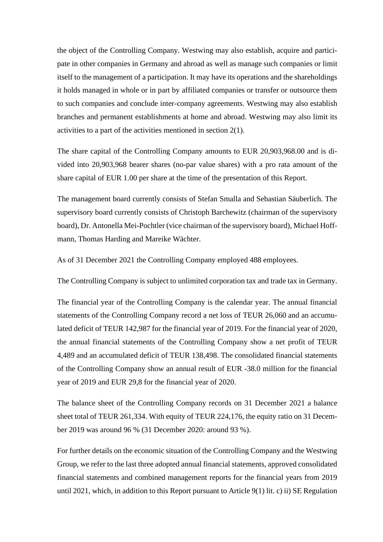the object of the Controlling Company. Westwing may also establish, acquire and participate in other companies in Germany and abroad as well as manage such companies or limit itself to the management of a participation. It may have its operations and the shareholdings it holds managed in whole or in part by affiliated companies or transfer or outsource them to such companies and conclude inter-company agreements. Westwing may also establish branches and permanent establishments at home and abroad. Westwing may also limit its activities to a part of the activities mentioned in section 2(1).

The share capital of the Controlling Company amounts to EUR 20,903,968.00 and is divided into 20,903,968 bearer shares (no-par value shares) with a pro rata amount of the share capital of EUR 1.00 per share at the time of the presentation of this Report.

The management board currently consists of Stefan Smalla and Sebastian Säuberlich. The supervisory board currently consists of Christoph Barchewitz (chairman of the supervisory board), Dr. Antonella Mei-Pochtler (vice chairman of the supervisory board), Michael Hoffmann, Thomas Harding and Mareike Wächter.

As of 31 December 2021 the Controlling Company employed 488 employees.

The Controlling Company is subject to unlimited corporation tax and trade tax in Germany.

The financial year of the Controlling Company is the calendar year. The annual financial statements of the Controlling Company record a net loss of TEUR 26,060 and an accumulated deficit of TEUR 142,987 for the financial year of 2019. For the financial year of 2020, the annual financial statements of the Controlling Company show a net profit of TEUR 4,489 and an accumulated deficit of TEUR 138,498. The consolidated financial statements of the Controlling Company show an annual result of EUR -38.0 million for the financial year of 2019 and EUR 29,8 for the financial year of 2020.

The balance sheet of the Controlling Company records on 31 December 2021 a balance sheet total of TEUR 261,334. With equity of TEUR 224,176, the equity ratio on 31 December 2019 was around 96 % (31 December 2020: around 93 %).

For further details on the economic situation of the Controlling Company and the Westwing Group, we refer to the last three adopted annual financial statements, approved consolidated financial statements and combined management reports for the financial years from 2019 until 2021, which, in addition to this Report pursuant to Article 9(1) lit. c) ii) SE Regulation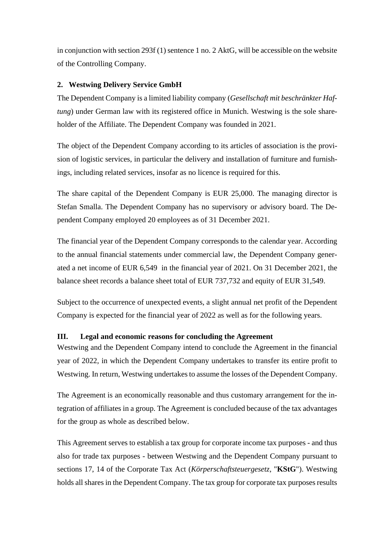in conjunction with section 293f (1) sentence 1 no. 2 AktG, will be accessible on the website of the Controlling Company.

# **2. Westwing Delivery Service GmbH**

The Dependent Company is a limited liability company (*Gesellschaft mit beschränkter Haftung*) under German law with its registered office in Munich. Westwing is the sole shareholder of the Affiliate. The Dependent Company was founded in 2021.

The object of the Dependent Company according to its articles of association is the provision of logistic services, in particular the delivery and installation of furniture and furnishings, including related services, insofar as no licence is required for this.

The share capital of the Dependent Company is EUR 25,000. The managing director is Stefan Smalla. The Dependent Company has no supervisory or advisory board. The Dependent Company employed 20 employees as of 31 December 2021.

The financial year of the Dependent Company corresponds to the calendar year. According to the annual financial statements under commercial law, the Dependent Company generated a net income of EUR 6,549 in the financial year of 2021. On 31 December 2021, the balance sheet records a balance sheet total of EUR 737,732 and equity of EUR 31,549.

Subject to the occurrence of unexpected events, a slight annual net profit of the Dependent Company is expected for the financial year of 2022 as well as for the following years.

# **III. Legal and economic reasons for concluding the Agreement**

Westwing and the Dependent Company intend to conclude the Agreement in the financial year of 2022, in which the Dependent Company undertakes to transfer its entire profit to Westwing. In return, Westwing undertakes to assume the losses of the Dependent Company.

The Agreement is an economically reasonable and thus customary arrangement for the integration of affiliates in a group. The Agreement is concluded because of the tax advantages for the group as whole as described below.

This Agreement serves to establish a tax group for corporate income tax purposes - and thus also for trade tax purposes - between Westwing and the Dependent Company pursuant to sections 17, 14 of the Corporate Tax Act (*Körperschaftsteuergesetz*, "**KStG**"). Westwing holds all shares in the Dependent Company. The tax group for corporate tax purposes results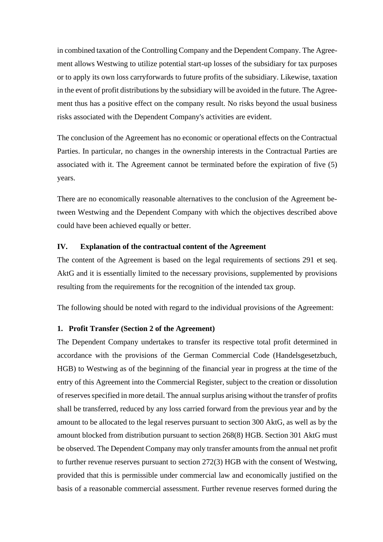in combined taxation of the Controlling Company and the Dependent Company. The Agreement allows Westwing to utilize potential start-up losses of the subsidiary for tax purposes or to apply its own loss carryforwards to future profits of the subsidiary. Likewise, taxation in the event of profit distributions by the subsidiary will be avoided in the future. The Agreement thus has a positive effect on the company result. No risks beyond the usual business risks associated with the Dependent Company's activities are evident.

The conclusion of the Agreement has no economic or operational effects on the Contractual Parties. In particular, no changes in the ownership interests in the Contractual Parties are associated with it. The Agreement cannot be terminated before the expiration of five (5) years.

There are no economically reasonable alternatives to the conclusion of the Agreement between Westwing and the Dependent Company with which the objectives described above could have been achieved equally or better.

### **IV. Explanation of the contractual content of the Agreement**

The content of the Agreement is based on the legal requirements of sections 291 et seq. AktG and it is essentially limited to the necessary provisions, supplemented by provisions resulting from the requirements for the recognition of the intended tax group.

The following should be noted with regard to the individual provisions of the Agreement:

# **1. Profit Transfer (Section 2 of the Agreement)**

The Dependent Company undertakes to transfer its respective total profit determined in accordance with the provisions of the German Commercial Code (Handelsgesetzbuch, HGB) to Westwing as of the beginning of the financial year in progress at the time of the entry of this Agreement into the Commercial Register, subject to the creation or dissolution of reserves specified in more detail. The annual surplus arising without the transfer of profits shall be transferred, reduced by any loss carried forward from the previous year and by the amount to be allocated to the legal reserves pursuant to section 300 AktG, as well as by the amount blocked from distribution pursuant to section 268(8) HGB. Section 301 AktG must be observed. The Dependent Company may only transfer amounts from the annual net profit to further revenue reserves pursuant to section 272(3) HGB with the consent of Westwing, provided that this is permissible under commercial law and economically justified on the basis of a reasonable commercial assessment. Further revenue reserves formed during the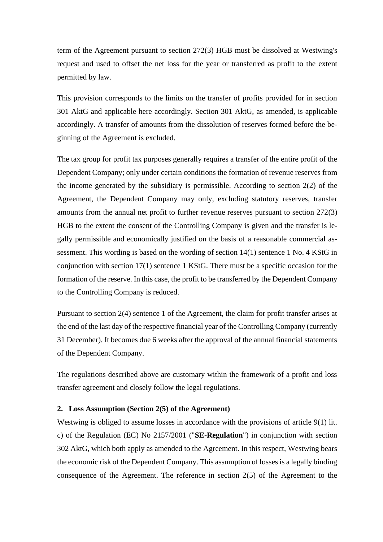term of the Agreement pursuant to section 272(3) HGB must be dissolved at Westwing's request and used to offset the net loss for the year or transferred as profit to the extent permitted by law.

This provision corresponds to the limits on the transfer of profits provided for in section 301 AktG and applicable here accordingly. Section 301 AktG, as amended, is applicable accordingly. A transfer of amounts from the dissolution of reserves formed before the beginning of the Agreement is excluded.

The tax group for profit tax purposes generally requires a transfer of the entire profit of the Dependent Company; only under certain conditions the formation of revenue reserves from the income generated by the subsidiary is permissible. According to section  $2(2)$  of the Agreement, the Dependent Company may only, excluding statutory reserves, transfer amounts from the annual net profit to further revenue reserves pursuant to section 272(3) HGB to the extent the consent of the Controlling Company is given and the transfer is legally permissible and economically justified on the basis of a reasonable commercial assessment. This wording is based on the wording of section 14(1) sentence 1 No. 4 KStG in conjunction with section 17(1) sentence 1 KStG. There must be a specific occasion for the formation of the reserve. In this case, the profit to be transferred by the Dependent Company to the Controlling Company is reduced.

Pursuant to section 2(4) sentence 1 of the Agreement, the claim for profit transfer arises at the end of the last day of the respective financial year of the Controlling Company (currently 31 December). It becomes due 6 weeks after the approval of the annual financial statements of the Dependent Company.

The regulations described above are customary within the framework of a profit and loss transfer agreement and closely follow the legal regulations.

### **2. Loss Assumption (Section 2(5) of the Agreement)**

Westwing is obliged to assume losses in accordance with the provisions of article 9(1) lit. c) of the Regulation (EC) No 2157/2001 ("**SE-Regulation**") in conjunction with section 302 AktG, which both apply as amended to the Agreement. In this respect, Westwing bears the economic risk of the Dependent Company. This assumption of losses is a legally binding consequence of the Agreement. The reference in section 2(5) of the Agreement to the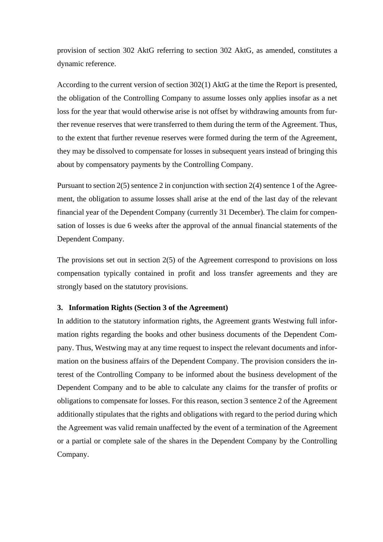provision of section 302 AktG referring to section 302 AktG, as amended, constitutes a dynamic reference.

According to the current version of section 302(1) AktG at the time the Report is presented, the obligation of the Controlling Company to assume losses only applies insofar as a net loss for the year that would otherwise arise is not offset by withdrawing amounts from further revenue reserves that were transferred to them during the term of the Agreement. Thus, to the extent that further revenue reserves were formed during the term of the Agreement, they may be dissolved to compensate for losses in subsequent years instead of bringing this about by compensatory payments by the Controlling Company.

Pursuant to section 2(5) sentence 2 in conjunction with section 2(4) sentence 1 of the Agreement, the obligation to assume losses shall arise at the end of the last day of the relevant financial year of the Dependent Company (currently 31 December). The claim for compensation of losses is due 6 weeks after the approval of the annual financial statements of the Dependent Company.

The provisions set out in section 2(5) of the Agreement correspond to provisions on loss compensation typically contained in profit and loss transfer agreements and they are strongly based on the statutory provisions.

### **3. Information Rights (Section 3 of the Agreement)**

In addition to the statutory information rights, the Agreement grants Westwing full information rights regarding the books and other business documents of the Dependent Company. Thus, Westwing may at any time request to inspect the relevant documents and information on the business affairs of the Dependent Company. The provision considers the interest of the Controlling Company to be informed about the business development of the Dependent Company and to be able to calculate any claims for the transfer of profits or obligations to compensate for losses. For this reason, section 3 sentence 2 of the Agreement additionally stipulates that the rights and obligations with regard to the period during which the Agreement was valid remain unaffected by the event of a termination of the Agreement or a partial or complete sale of the shares in the Dependent Company by the Controlling Company.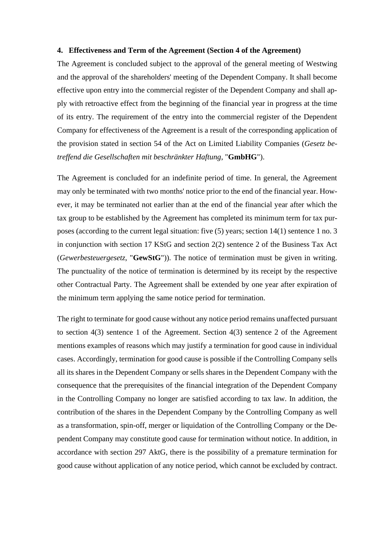#### **4. Effectiveness and Term of the Agreement (Section 4 of the Agreement)**

The Agreement is concluded subject to the approval of the general meeting of Westwing and the approval of the shareholders' meeting of the Dependent Company. It shall become effective upon entry into the commercial register of the Dependent Company and shall apply with retroactive effect from the beginning of the financial year in progress at the time of its entry. The requirement of the entry into the commercial register of the Dependent Company for effectiveness of the Agreement is a result of the corresponding application of the provision stated in section 54 of the Act on Limited Liability Companies (*Gesetz betreffend die Gesellschaften mit beschränkter Haftung*, "**GmbHG**").

The Agreement is concluded for an indefinite period of time. In general, the Agreement may only be terminated with two months' notice prior to the end of the financial year. However, it may be terminated not earlier than at the end of the financial year after which the tax group to be established by the Agreement has completed its minimum term for tax purposes (according to the current legal situation: five (5) years; section 14(1) sentence 1 no. 3 in conjunction with section 17 KStG and section 2(2) sentence 2 of the Business Tax Act (*Gewerbesteuergesetz*, "**GewStG**")). The notice of termination must be given in writing. The punctuality of the notice of termination is determined by its receipt by the respective other Contractual Party. The Agreement shall be extended by one year after expiration of the minimum term applying the same notice period for termination.

The right to terminate for good cause without any notice period remains unaffected pursuant to section 4(3) sentence 1 of the Agreement. Section 4(3) sentence 2 of the Agreement mentions examples of reasons which may justify a termination for good cause in individual cases. Accordingly, termination for good cause is possible if the Controlling Company sells all its shares in the Dependent Company or sells shares in the Dependent Company with the consequence that the prerequisites of the financial integration of the Dependent Company in the Controlling Company no longer are satisfied according to tax law. In addition, the contribution of the shares in the Dependent Company by the Controlling Company as well as a transformation, spin-off, merger or liquidation of the Controlling Company or the Dependent Company may constitute good cause for termination without notice. In addition, in accordance with section 297 AktG, there is the possibility of a premature termination for good cause without application of any notice period, which cannot be excluded by contract.